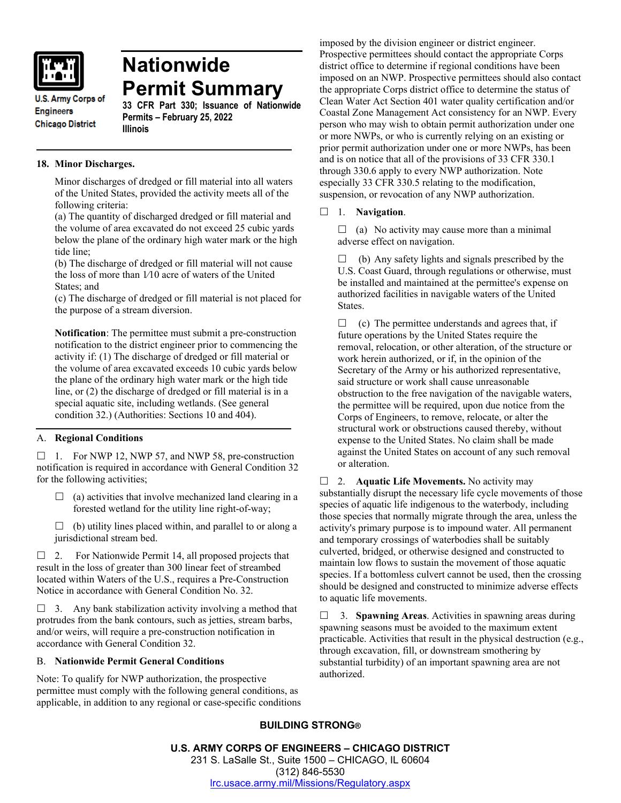

# **Nationwide Permit Summary**

**U.S. Army Corps of Engineers Chicago District** 

**33 CFR Part 330; Issuance of Nationwide Permits – February 25, 2022 Illinois**

## **18. Minor Discharges.**

Minor discharges of dredged or fill material into all waters of the United States, provided the activity meets all of the following criteria:

(a) The quantity of discharged dredged or fill material and the volume of area excavated do not exceed 25 cubic yards below the plane of the ordinary high water mark or the high tide line;

(b) The discharge of dredged or fill material will not cause the loss of more than 1⁄10 acre of waters of the United States; and

(c) The discharge of dredged or fill material is not placed for the purpose of a stream diversion.

**Notification**: The permittee must submit a pre-construction notification to the district engineer prior to commencing the activity if: (1) The discharge of dredged or fill material or the volume of area excavated exceeds 10 cubic yards below the plane of the ordinary high water mark or the high tide line, or (2) the discharge of dredged or fill material is in a special aquatic site, including wetlands. (See general condition 32.) (Authorities: Sections 10 and 404).

# A. **Regional Conditions**

 $\Box$  1. For NWP 12, NWP 57, and NWP 58, pre-construction notification is required in accordance with General Condition 32 for the following activities;

- $\Box$  (a) activities that involve mechanized land clearing in a forested wetland for the utility line right-of-way;
- $\Box$  (b) utility lines placed within, and parallel to or along a jurisdictional stream bed.

 $\Box$  2. For Nationwide Permit 14, all proposed projects that result in the loss of greater than 300 linear feet of streambed located within Waters of the U.S., requires a Pre-Construction Notice in accordance with General Condition No. 32.

 $\Box$  3. Any bank stabilization activity involving a method that protrudes from the bank contours, such as jetties, stream barbs, and/or weirs, will require a pre-construction notification in accordance with General Condition 32.

## B. **Nationwide Permit General Conditions**

Note: To qualify for NWP authorization, the prospective permittee must comply with the following general conditions, as applicable, in addition to any regional or case-specific conditions imposed by the division engineer or district engineer. Prospective permittees should contact the appropriate Corps district office to determine if regional conditions have been imposed on an NWP. Prospective permittees should also contact the appropriate Corps district office to determine the status of Clean Water Act Section 401 water quality certification and/or Coastal Zone Management Act consistency for an NWP. Every person who may wish to obtain permit authorization under one or more NWPs, or who is currently relying on an existing or prior permit authorization under one or more NWPs, has been and is on notice that all of the provisions of 33 CFR 330.1 through 330.6 apply to every NWP authorization. Note especially 33 CFR 330.5 relating to the modification, suspension, or revocation of any NWP authorization.

1. **Navigation**.

 $\Box$  (a) No activity may cause more than a minimal adverse effect on navigation.

 $\Box$  (b) Any safety lights and signals prescribed by the U.S. Coast Guard, through regulations or otherwise, must be installed and maintained at the permittee's expense on authorized facilities in navigable waters of the United States.

 $\Box$  (c) The permittee understands and agrees that, if future operations by the United States require the removal, relocation, or other alteration, of the structure or work herein authorized, or if, in the opinion of the Secretary of the Army or his authorized representative, said structure or work shall cause unreasonable obstruction to the free navigation of the navigable waters, the permittee will be required, upon due notice from the Corps of Engineers, to remove, relocate, or alter the structural work or obstructions caused thereby, without expense to the United States. No claim shall be made against the United States on account of any such removal or alteration.

□ 2. **Aquatic Life Movements.** No activity may substantially disrupt the necessary life cycle movements of those species of aquatic life indigenous to the waterbody, including those species that normally migrate through the area, unless the activity's primary purpose is to impound water. All permanent and temporary crossings of waterbodies shall be suitably culverted, bridged, or otherwise designed and constructed to maintain low flows to sustain the movement of those aquatic species. If a bottomless culvert cannot be used, then the crossing should be designed and constructed to minimize adverse effects to aquatic life movements.

 3. **Spawning Areas**. Activities in spawning areas during spawning seasons must be avoided to the maximum extent practicable. Activities that result in the physical destruction (e.g., through excavation, fill, or downstream smothering by substantial turbidity) of an important spawning area are not authorized.

# **BUILDING STRONG®**

**U.S. ARMY CORPS OF ENGINEERS – CHICAGO DISTRICT** 231 S. LaSalle St., Suite 1500 – CHICAGO, IL 60604 (312) 846-5530 [lrc.usace.army.mil/Missions/Regulatory.aspx](https://www.lrc.usace.army.mil/Missions/Regulatory.aspx)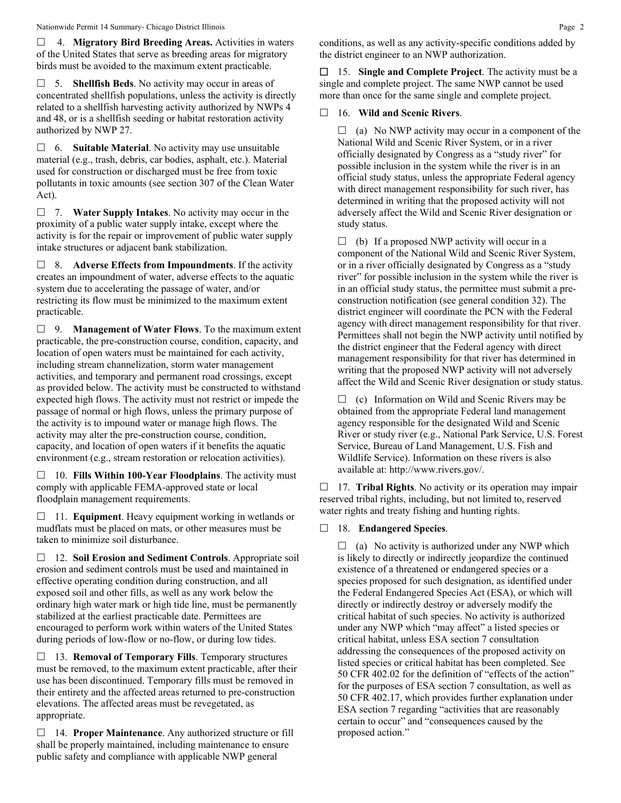4. **Migratory Bird Breeding Areas.** Activities in waters of the United States that serve as breeding areas for migratory birds must be avoided to the maximum extent practicable.

 5. **Shellfish Beds**. No activity may occur in areas of concentrated shellfish populations, unless the activity is directly related to a shellfish harvesting activity authorized by NWPs 4 and 48, or is a shellfish seeding or habitat restoration activity authorized by NWP 27.

 6. **Suitable Material**. No activity may use unsuitable material (e.g., trash, debris, car bodies, asphalt, etc.). Material used for construction or discharged must be free from toxic pollutants in toxic amounts (see section 307 of the Clean Water Act).

 7. **Water Supply Intakes**. No activity may occur in the proximity of a public water supply intake, except where the activity is for the repair or improvement of public water supply intake structures or adjacent bank stabilization.

 8. **Adverse Effects from Impoundments**. If the activity creates an impoundment of water, adverse effects to the aquatic system due to accelerating the passage of water, and/or restricting its flow must be minimized to the maximum extent practicable.

 9. **Management of Water Flows**. To the maximum extent practicable, the pre-construction course, condition, capacity, and location of open waters must be maintained for each activity, including stream channelization, storm water management activities, and temporary and permanent road crossings, except as provided below. The activity must be constructed to withstand expected high flows. The activity must not restrict or impede the passage of normal or high flows, unless the primary purpose of the activity is to impound water or manage high flows. The activity may alter the pre-construction course, condition, capacity, and location of open waters if it benefits the aquatic environment (e.g., stream restoration or relocation activities).

 10. **Fills Within 100-Year Floodplains**. The activity must comply with applicable FEMA-approved state or local floodplain management requirements.

 11. **Equipment**. Heavy equipment working in wetlands or mudflats must be placed on mats, or other measures must be taken to minimize soil disturbance.

 12. **Soil Erosion and Sediment Controls**. Appropriate soil erosion and sediment controls must be used and maintained in effective operating condition during construction, and all exposed soil and other fills, as well as any work below the ordinary high water mark or high tide line, must be permanently stabilized at the earliest practicable date. Permittees are encouraged to perform work within waters of the United States during periods of low-flow or no-flow, or during low tides.

 13. **Removal of Temporary Fills**. Temporary structures must be removed, to the maximum extent practicable, after their use has been discontinued. Temporary fills must be removed in their entirety and the affected areas returned to pre-construction elevations. The affected areas must be revegetated, as appropriate.

 14. **Proper Maintenance**. Any authorized structure or fill shall be properly maintained, including maintenance to ensure public safety and compliance with applicable NWP general

 15. **Single and Complete Project**. The activity must be a single and complete project. The same NWP cannot be used more than once for the same single and complete project.

### 16. **Wild and Scenic Rivers**.

 $\Box$  (a) No NWP activity may occur in a component of the National Wild and Scenic River System, or in a river officially designated by Congress as a "study river" for possible inclusion in the system while the river is in an official study status, unless the appropriate Federal agency with direct management responsibility for such river, has determined in writing that the proposed activity will not adversely affect the Wild and Scenic River designation or study status.

 $\Box$  (b) If a proposed NWP activity will occur in a component of the National Wild and Scenic River System, or in a river officially designated by Congress as a "study river" for possible inclusion in the system while the river is in an official study status, the permittee must submit a preconstruction notification (see general condition 32). The district engineer will coordinate the PCN with the Federal agency with direct management responsibility for that river. Permittees shall not begin the NWP activity until notified by the district engineer that the Federal agency with direct management responsibility for that river has determined in writing that the proposed NWP activity will not adversely affect the Wild and Scenic River designation or study status.

 $\Box$  (c) Information on Wild and Scenic Rivers may be obtained from the appropriate Federal land management agency responsible for the designated Wild and Scenic River or study river (e.g., National Park Service, U.S. Forest Service, Bureau of Land Management, U.S. Fish and Wildlife Service). Information on these rivers is also available at: http://www.rivers.gov/.

 17. **Tribal Rights**. No activity or its operation may impair reserved tribal rights, including, but not limited to, reserved water rights and treaty fishing and hunting rights.

## 18. **Endangered Species**.

 $\Box$  (a) No activity is authorized under any NWP which is likely to directly or indirectly jeopardize the continued existence of a threatened or endangered species or a species proposed for such designation, as identified under the Federal Endangered Species Act (ESA), or which will directly or indirectly destroy or adversely modify the critical habitat of such species. No activity is authorized under any NWP which "may affect" a listed species or critical habitat, unless ESA section 7 consultation addressing the consequences of the proposed activity on listed species or critical habitat has been completed. See 50 CFR 402.02 for the definition of "effects of the action" for the purposes of ESA section 7 consultation, as well as 50 CFR 402.17, which provides further explanation under ESA section 7 regarding "activities that are reasonably certain to occur" and "consequences caused by the proposed action."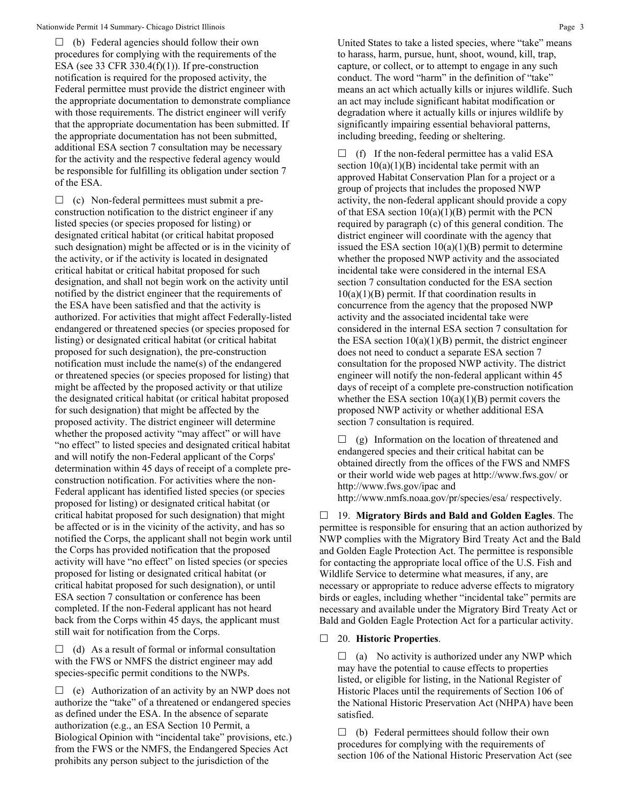$\Box$  (b) Federal agencies should follow their own procedures for complying with the requirements of the ESA (see 33 CFR 330.4(f)(1)). If pre-construction notification is required for the proposed activity, the Federal permittee must provide the district engineer with the appropriate documentation to demonstrate compliance with those requirements. The district engineer will verify that the appropriate documentation has been submitted. If the appropriate documentation has not been submitted, additional ESA section 7 consultation may be necessary for the activity and the respective federal agency would be responsible for fulfilling its obligation under section 7 of the ESA.

 $\Box$  (c) Non-federal permittees must submit a preconstruction notification to the district engineer if any listed species (or species proposed for listing) or designated critical habitat (or critical habitat proposed such designation) might be affected or is in the vicinity of the activity, or if the activity is located in designated critical habitat or critical habitat proposed for such designation, and shall not begin work on the activity until notified by the district engineer that the requirements of the ESA have been satisfied and that the activity is authorized. For activities that might affect Federally-listed endangered or threatened species (or species proposed for listing) or designated critical habitat (or critical habitat proposed for such designation), the pre-construction notification must include the name(s) of the endangered or threatened species (or species proposed for listing) that might be affected by the proposed activity or that utilize the designated critical habitat (or critical habitat proposed for such designation) that might be affected by the proposed activity. The district engineer will determine whether the proposed activity "may affect" or will have "no effect" to listed species and designated critical habitat and will notify the non-Federal applicant of the Corps' determination within 45 days of receipt of a complete preconstruction notification. For activities where the non-Federal applicant has identified listed species (or species proposed for listing) or designated critical habitat (or critical habitat proposed for such designation) that might be affected or is in the vicinity of the activity, and has so notified the Corps, the applicant shall not begin work until the Corps has provided notification that the proposed activity will have "no effect" on listed species (or species proposed for listing or designated critical habitat (or critical habitat proposed for such designation), or until ESA section 7 consultation or conference has been completed. If the non-Federal applicant has not heard back from the Corps within 45 days, the applicant must still wait for notification from the Corps.

 $\Box$  (d) As a result of formal or informal consultation with the FWS or NMFS the district engineer may add species-specific permit conditions to the NWPs.

 $\Box$  (e) Authorization of an activity by an NWP does not authorize the "take" of a threatened or endangered species as defined under the ESA. In the absence of separate authorization (e.g., an ESA Section 10 Permit, a Biological Opinion with "incidental take" provisions, etc.) from the FWS or the NMFS, the Endangered Species Act prohibits any person subject to the jurisdiction of the

 $\Box$  (f) If the non-federal permittee has a valid ESA section  $10(a)(1)(B)$  incidental take permit with an approved Habitat Conservation Plan for a project or a group of projects that includes the proposed NWP activity, the non-federal applicant should provide a copy of that ESA section  $10(a)(1)(B)$  permit with the PCN required by paragraph (c) of this general condition. The district engineer will coordinate with the agency that issued the ESA section  $10(a)(1)(B)$  permit to determine whether the proposed NWP activity and the associated incidental take were considered in the internal ESA section 7 consultation conducted for the ESA section  $10(a)(1)(B)$  permit. If that coordination results in concurrence from the agency that the proposed NWP activity and the associated incidental take were considered in the internal ESA section 7 consultation for the ESA section  $10(a)(1)(B)$  permit, the district engineer does not need to conduct a separate ESA section 7 consultation for the proposed NWP activity. The district engineer will notify the non-federal applicant within 45 days of receipt of a complete pre-construction notification whether the ESA section  $10(a)(1)(B)$  permit covers the proposed NWP activity or whether additional ESA section 7 consultation is required.

 $\Box$  (g) Information on the location of threatened and endangered species and their critical habitat can be obtained directly from the offices of the FWS and NMFS or their world wide web pages at http://www.fws.gov/ or http://www.fws.gov/ipac and

http://www.nmfs.noaa.gov/pr/species/esa/ respectively.

 19. **Migratory Birds and Bald and Golden Eagles**. The permittee is responsible for ensuring that an action authorized by NWP complies with the Migratory Bird Treaty Act and the Bald and Golden Eagle Protection Act. The permittee is responsible for contacting the appropriate local office of the U.S. Fish and Wildlife Service to determine what measures, if any, are necessary or appropriate to reduce adverse effects to migratory birds or eagles, including whether "incidental take" permits are necessary and available under the Migratory Bird Treaty Act or Bald and Golden Eagle Protection Act for a particular activity.

#### 20. **Historic Properties**.

 $\Box$  (a) No activity is authorized under any NWP which may have the potential to cause effects to properties listed, or eligible for listing, in the National Register of Historic Places until the requirements of Section 106 of the National Historic Preservation Act (NHPA) have been satisfied.

 $\Box$  (b) Federal permittees should follow their own procedures for complying with the requirements of section 106 of the National Historic Preservation Act (see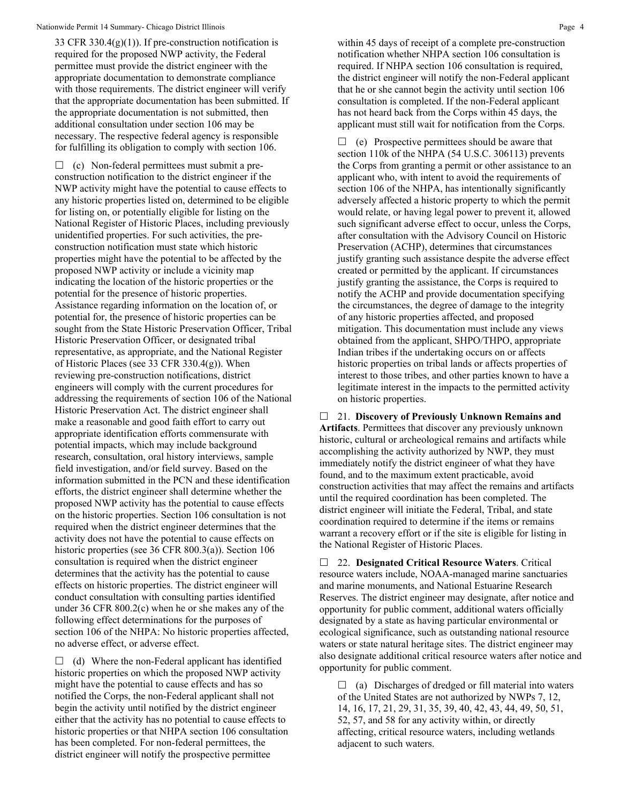33 CFR 330.4(g)(1)). If pre-construction notification is required for the proposed NWP activity, the Federal permittee must provide the district engineer with the appropriate documentation to demonstrate compliance with those requirements. The district engineer will verify that the appropriate documentation has been submitted. If the appropriate documentation is not submitted, then additional consultation under section 106 may be necessary. The respective federal agency is responsible for fulfilling its obligation to comply with section 106.

 $\Box$  (c) Non-federal permittees must submit a preconstruction notification to the district engineer if the NWP activity might have the potential to cause effects to any historic properties listed on, determined to be eligible for listing on, or potentially eligible for listing on the National Register of Historic Places, including previously unidentified properties. For such activities, the preconstruction notification must state which historic properties might have the potential to be affected by the proposed NWP activity or include a vicinity map indicating the location of the historic properties or the potential for the presence of historic properties. Assistance regarding information on the location of, or potential for, the presence of historic properties can be sought from the State Historic Preservation Officer, Tribal Historic Preservation Officer, or designated tribal representative, as appropriate, and the National Register of Historic Places (see 33 CFR 330.4(g)). When reviewing pre-construction notifications, district engineers will comply with the current procedures for addressing the requirements of section 106 of the National Historic Preservation Act. The district engineer shall make a reasonable and good faith effort to carry out appropriate identification efforts commensurate with potential impacts, which may include background research, consultation, oral history interviews, sample field investigation, and/or field survey. Based on the information submitted in the PCN and these identification efforts, the district engineer shall determine whether the proposed NWP activity has the potential to cause effects on the historic properties. Section 106 consultation is not required when the district engineer determines that the activity does not have the potential to cause effects on historic properties (see 36 CFR 800.3(a)). Section 106 consultation is required when the district engineer determines that the activity has the potential to cause effects on historic properties. The district engineer will conduct consultation with consulting parties identified under 36 CFR 800.2(c) when he or she makes any of the following effect determinations for the purposes of section 106 of the NHPA: No historic properties affected, no adverse effect, or adverse effect.

 $\Box$  (d) Where the non-Federal applicant has identified historic properties on which the proposed NWP activity might have the potential to cause effects and has so notified the Corps, the non-Federal applicant shall not begin the activity until notified by the district engineer either that the activity has no potential to cause effects to historic properties or that NHPA section 106 consultation has been completed. For non-federal permittees, the district engineer will notify the prospective permittee

within 45 days of receipt of a complete pre-construction notification whether NHPA section 106 consultation is required. If NHPA section 106 consultation is required, the district engineer will notify the non-Federal applicant that he or she cannot begin the activity until section 106 consultation is completed. If the non-Federal applicant has not heard back from the Corps within 45 days, the applicant must still wait for notification from the Corps.

 $\Box$  (e) Prospective permittees should be aware that section 110k of the NHPA (54 U.S.C. 306113) prevents the Corps from granting a permit or other assistance to an applicant who, with intent to avoid the requirements of section 106 of the NHPA, has intentionally significantly adversely affected a historic property to which the permit would relate, or having legal power to prevent it, allowed such significant adverse effect to occur, unless the Corps, after consultation with the Advisory Council on Historic Preservation (ACHP), determines that circumstances justify granting such assistance despite the adverse effect created or permitted by the applicant. If circumstances justify granting the assistance, the Corps is required to notify the ACHP and provide documentation specifying the circumstances, the degree of damage to the integrity of any historic properties affected, and proposed mitigation. This documentation must include any views obtained from the applicant, SHPO/THPO, appropriate Indian tribes if the undertaking occurs on or affects historic properties on tribal lands or affects properties of interest to those tribes, and other parties known to have a legitimate interest in the impacts to the permitted activity on historic properties.

 21. **Discovery of Previously Unknown Remains and Artifacts**. Permittees that discover any previously unknown historic, cultural or archeological remains and artifacts while accomplishing the activity authorized by NWP, they must immediately notify the district engineer of what they have found, and to the maximum extent practicable, avoid construction activities that may affect the remains and artifacts until the required coordination has been completed. The district engineer will initiate the Federal, Tribal, and state coordination required to determine if the items or remains warrant a recovery effort or if the site is eligible for listing in the National Register of Historic Places.

 22. **Designated Critical Resource Waters**. Critical resource waters include, NOAA-managed marine sanctuaries and marine monuments, and National Estuarine Research Reserves. The district engineer may designate, after notice and opportunity for public comment, additional waters officially designated by a state as having particular environmental or ecological significance, such as outstanding national resource waters or state natural heritage sites. The district engineer may also designate additional critical resource waters after notice and opportunity for public comment.

 $\Box$  (a) Discharges of dredged or fill material into waters of the United States are not authorized by NWPs 7, 12, 14, 16, 17, 21, 29, 31, 35, 39, 40, 42, 43, 44, 49, 50, 51, 52, 57, and 58 for any activity within, or directly affecting, critical resource waters, including wetlands adjacent to such waters.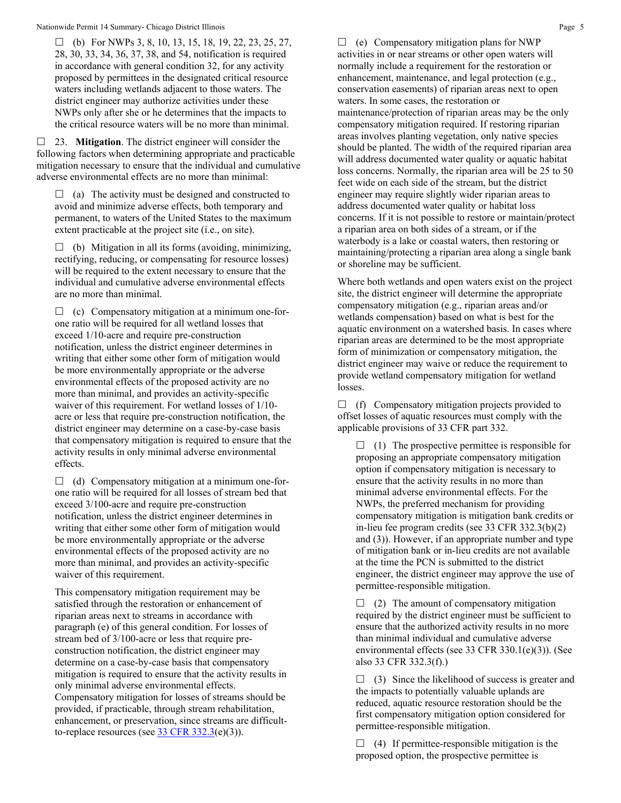$\Box$  (b) For NWPs 3, 8, 10, 13, 15, 18, 19, 22, 23, 25, 27, 28, 30, 33, 34, 36, 37, 38, and 54, notification is required in accordance with general condition 32, for any activity proposed by permittees in the designated critical resource waters including wetlands adjacent to those waters. The district engineer may authorize activities under these NWPs only after she or he determines that the impacts to the critical resource waters will be no more than minimal.

 23. **Mitigation**. The district engineer will consider the following factors when determining appropriate and practicable mitigation necessary to ensure that the individual and cumulative adverse environmental effects are no more than minimal:

 $\Box$  (a) The activity must be designed and constructed to avoid and minimize adverse effects, both temporary and permanent, to waters of the United States to the maximum extent practicable at the project site (i.e., on site).

 $\Box$  (b) Mitigation in all its forms (avoiding, minimizing, rectifying, reducing, or compensating for resource losses) will be required to the extent necessary to ensure that the individual and cumulative adverse environmental effects are no more than minimal.

 $\Box$  (c) Compensatory mitigation at a minimum one-forone ratio will be required for all wetland losses that exceed 1/10-acre and require pre-construction notification, unless the district engineer determines in writing that either some other form of mitigation would be more environmentally appropriate or the adverse environmental effects of the proposed activity are no more than minimal, and provides an activity-specific waiver of this requirement. For wetland losses of 1/10 acre or less that require pre-construction notification, the district engineer may determine on a case-by-case basis that compensatory mitigation is required to ensure that the activity results in only minimal adverse environmental effects.

 $\Box$  (d) Compensatory mitigation at a minimum one-forone ratio will be required for all losses of stream bed that exceed 3/100-acre and require pre-construction notification, unless the district engineer determines in writing that either some other form of mitigation would be more environmentally appropriate or the adverse environmental effects of the proposed activity are no more than minimal, and provides an activity-specific waiver of this requirement.

This compensatory mitigation requirement may be satisfied through the restoration or enhancement of riparian areas next to streams in accordance with paragraph (e) of this general condition. For losses of stream bed of 3/100-acre or less that require preconstruction notification, the district engineer may determine on a case-by-case basis that compensatory mitigation is required to ensure that the activity results in only minimal adverse environmental effects. Compensatory mitigation for losses of streams should be provided, if practicable, through stream rehabilitation, enhancement, or preservation, since streams are difficultto-replace resources (see  $33 \text{ CFR } 332.3(e)(3)$ ).

 $\Box$  (e) Compensatory mitigation plans for NWP activities in or near streams or other open waters will normally include a requirement for the restoration or enhancement, maintenance, and legal protection (e.g., conservation easements) of riparian areas next to open waters. In some cases, the restoration or maintenance/protection of riparian areas may be the only compensatory mitigation required. If restoring riparian areas involves planting vegetation, only native species should be planted. The width of the required riparian area will address documented water quality or aquatic habitat loss concerns. Normally, the riparian area will be 25 to 50 feet wide on each side of the stream, but the district engineer may require slightly wider riparian areas to address documented water quality or habitat loss concerns. If it is not possible to restore or maintain/protect a riparian area on both sides of a stream, or if the waterbody is a lake or coastal waters, then restoring or maintaining/protecting a riparian area along a single bank or shoreline may be sufficient.

Where both wetlands and open waters exist on the project site, the district engineer will determine the appropriate compensatory mitigation (e.g., riparian areas and/or wetlands compensation) based on what is best for the aquatic environment on a watershed basis. In cases where riparian areas are determined to be the most appropriate form of minimization or compensatory mitigation, the district engineer may waive or reduce the requirement to provide wetland compensatory mitigation for wetland losses.

 $\Box$  (f) Compensatory mitigation projects provided to offset losses of aquatic resources must comply with the applicable provisions of 33 CFR part 332.

 $\Box$  (1) The prospective permittee is responsible for proposing an appropriate compensatory mitigation option if compensatory mitigation is necessary to ensure that the activity results in no more than minimal adverse environmental effects. For the NWPs, the preferred mechanism for providing compensatory mitigation is mitigation bank credits or in-lieu fee program credits (see 33 CFR 332.3(b)(2) and (3)). However, if an appropriate number and type of mitigation bank or in-lieu credits are not available at the time the PCN is submitted to the district engineer, the district engineer may approve the use of permittee-responsible mitigation.

 $\Box$  (2) The amount of compensatory mitigation required by the district engineer must be sufficient to ensure that the authorized activity results in no more than minimal individual and cumulative adverse environmental effects (see 33 CFR 330.1(e)(3)). (See also 33 CFR 332.3(f).)

 $\Box$  (3) Since the likelihood of success is greater and the impacts to potentially valuable uplands are reduced, aquatic resource restoration should be the first compensatory mitigation option considered for permittee-responsible mitigation.

 $\Box$  (4) If permittee-responsible mitigation is the proposed option, the prospective permittee is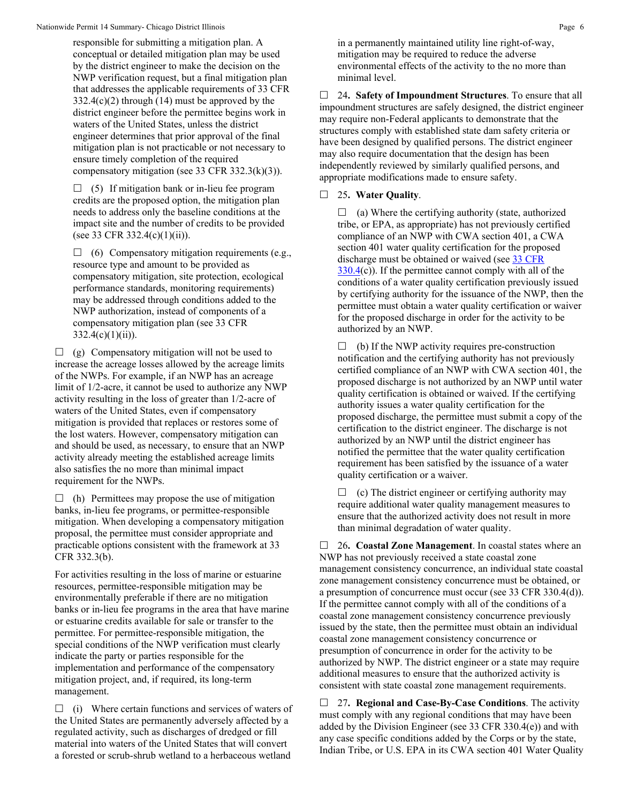responsible for submitting a mitigation plan. A conceptual or detailed mitigation plan may be used by the district engineer to make the decision on the NWP verification request, but a final mitigation plan that addresses the applicable requirements of 33 CFR  $332.4(c)(2)$  through (14) must be approved by the district engineer before the permittee begins work in waters of the United States, unless the district engineer determines that prior approval of the final mitigation plan is not practicable or not necessary to ensure timely completion of the required compensatory mitigation (see 33 CFR 332.3(k)(3)).

 $\Box$  (5) If mitigation bank or in-lieu fee program credits are the proposed option, the mitigation plan needs to address only the baseline conditions at the impact site and the number of credits to be provided (see 33 CFR 332.4(c)(1)(ii)).

 $\Box$  (6) Compensatory mitigation requirements (e.g., resource type and amount to be provided as compensatory mitigation, site protection, ecological performance standards, monitoring requirements) may be addressed through conditions added to the NWP authorization, instead of components of a compensatory mitigation plan (see 33 CFR  $332.4(c)(1)(ii)$ ).

 $\Box$  (g) Compensatory mitigation will not be used to increase the acreage losses allowed by the acreage limits of the NWPs. For example, if an NWP has an acreage limit of 1/2-acre, it cannot be used to authorize any NWP activity resulting in the loss of greater than 1/2-acre of waters of the United States, even if compensatory mitigation is provided that replaces or restores some of the lost waters. However, compensatory mitigation can and should be used, as necessary, to ensure that an NWP activity already meeting the established acreage limits also satisfies the no more than minimal impact requirement for the NWPs.

 $\Box$  (h) Permittees may propose the use of mitigation banks, in-lieu fee programs, or permittee-responsible mitigation. When developing a compensatory mitigation proposal, the permittee must consider appropriate and practicable options consistent with the framework at 33 CFR 332.3(b).

For activities resulting in the loss of marine or estuarine resources, permittee-responsible mitigation may be environmentally preferable if there are no mitigation banks or in-lieu fee programs in the area that have marine or estuarine credits available for sale or transfer to the permittee. For permittee-responsible mitigation, the special conditions of the NWP verification must clearly indicate the party or parties responsible for the implementation and performance of the compensatory mitigation project, and, if required, its long-term management.

 $\Box$  (i) Where certain functions and services of waters of the United States are permanently adversely affected by a regulated activity, such as discharges of dredged or fill material into waters of the United States that will convert a forested or scrub-shrub wetland to a herbaceous wetland

in a permanently maintained utility line right-of-way, mitigation may be required to reduce the adverse environmental effects of the activity to the no more than minimal level.

 24**. Safety of Impoundment Structures**. To ensure that all impoundment structures are safely designed, the district engineer may require non-Federal applicants to demonstrate that the structures comply with established state dam safety criteria or have been designed by qualified persons. The district engineer may also require documentation that the design has been independently reviewed by similarly qualified persons, and appropriate modifications made to ensure safety.

25**. Water Quality**.

 $\Box$  (a) Where the certifying authority (state, authorized tribe, or EPA, as appropriate) has not previously certified compliance of an NWP with CWA section 401, a CWA section 401 water quality certification for the proposed discharge must be obtained or waived (see [33 CFR](https://www.federalregister.gov/select-citation/2021/01/13/33-CFR-330.4)   $330.4(c)$  $330.4(c)$ ). If the permittee cannot comply with all of the conditions of a water quality certification previously issued by certifying authority for the issuance of the NWP, then the permittee must obtain a water quality certification or waiver for the proposed discharge in order for the activity to be authorized by an NWP.

 $\Box$  (b) If the NWP activity requires pre-construction notification and the certifying authority has not previously certified compliance of an NWP with CWA section 401, the proposed discharge is not authorized by an NWP until water quality certification is obtained or waived. If the certifying authority issues a water quality certification for the proposed discharge, the permittee must submit a copy of the certification to the district engineer. The discharge is not authorized by an NWP until the district engineer has notified the permittee that the water quality certification requirement has been satisfied by the issuance of a water quality certification or a waiver.

 $\Box$  (c) The district engineer or certifying authority may require additional water quality management measures to ensure that the authorized activity does not result in more than minimal degradation of water quality.

 26**. Coastal Zone Management**. In coastal states where an NWP has not previously received a state coastal zone management consistency concurrence, an individual state coastal zone management consistency concurrence must be obtained, or a presumption of concurrence must occur (see 33 CFR 330.4(d)). If the permittee cannot comply with all of the conditions of a coastal zone management consistency concurrence previously issued by the state, then the permittee must obtain an individual coastal zone management consistency concurrence or presumption of concurrence in order for the activity to be authorized by NWP. The district engineer or a state may require additional measures to ensure that the authorized activity is consistent with state coastal zone management requirements.

 27**. Regional and Case-By-Case Conditions**. The activity must comply with any regional conditions that may have been added by the Division Engineer (see 33 CFR 330.4(e)) and with any case specific conditions added by the Corps or by the state, Indian Tribe, or U.S. EPA in its CWA section 401 Water Quality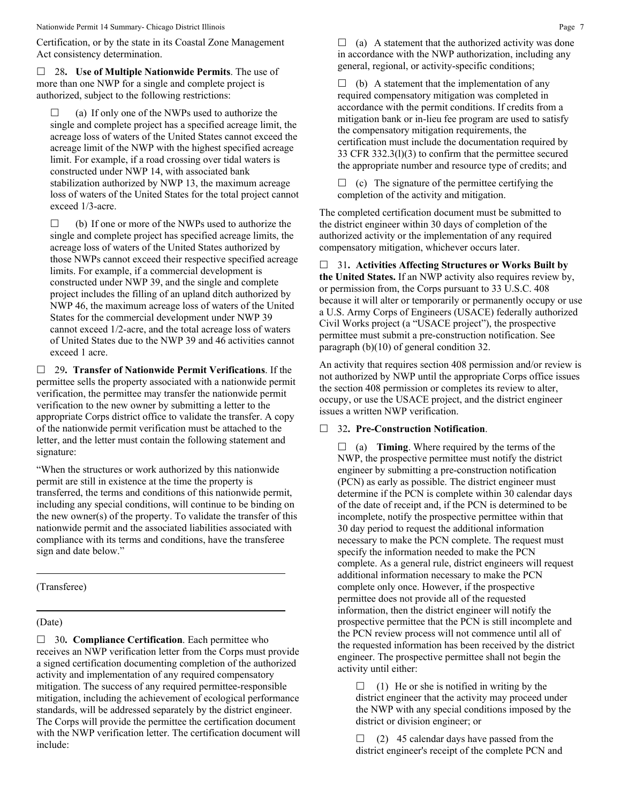Certification, or by the state in its Coastal Zone Management Act consistency determination.

 28**. Use of Multiple Nationwide Permits**. The use of more than one NWP for a single and complete project is authorized, subject to the following restrictions:

 $\Box$  (a) If only one of the NWPs used to authorize the single and complete project has a specified acreage limit, the acreage loss of waters of the United States cannot exceed the acreage limit of the NWP with the highest specified acreage limit. For example, if a road crossing over tidal waters is constructed under NWP 14, with associated bank stabilization authorized by NWP 13, the maximum acreage loss of waters of the United States for the total project cannot exceed 1/3-acre.

 $\Box$  (b) If one or more of the NWPs used to authorize the single and complete project has specified acreage limits, the acreage loss of waters of the United States authorized by those NWPs cannot exceed their respective specified acreage limits. For example, if a commercial development is constructed under NWP 39, and the single and complete project includes the filling of an upland ditch authorized by NWP 46, the maximum acreage loss of waters of the United States for the commercial development under NWP 39 cannot exceed 1/2-acre, and the total acreage loss of waters of United States due to the NWP 39 and 46 activities cannot exceed 1 acre.

 29**. Transfer of Nationwide Permit Verifications**. If the permittee sells the property associated with a nationwide permit verification, the permittee may transfer the nationwide permit verification to the new owner by submitting a letter to the appropriate Corps district office to validate the transfer. A copy of the nationwide permit verification must be attached to the letter, and the letter must contain the following statement and signature:

"When the structures or work authorized by this nationwide permit are still in existence at the time the property is transferred, the terms and conditions of this nationwide permit, including any special conditions, will continue to be binding on the new owner(s) of the property. To validate the transfer of this nationwide permit and the associated liabilities associated with compliance with its terms and conditions, have the transferee sign and date below."

(Transferee)

## (Date)

□ 30. **Compliance Certification**. Each permittee who receives an NWP verification letter from the Corps must provide a signed certification documenting completion of the authorized activity and implementation of any required compensatory mitigation. The success of any required permittee-responsible mitigation, including the achievement of ecological performance standards, will be addressed separately by the district engineer. The Corps will provide the permittee the certification document with the NWP verification letter. The certification document will include:

 $\Box$  (a) A statement that the authorized activity was done in accordance with the NWP authorization, including any general, regional, or activity-specific conditions;

 $\Box$  (b) A statement that the implementation of any required compensatory mitigation was completed in accordance with the permit conditions. If credits from a mitigation bank or in-lieu fee program are used to satisfy the compensatory mitigation requirements, the certification must include the documentation required by 33 CFR 332.3(l)(3) to confirm that the permittee secured the appropriate number and resource type of credits; and

 $\Box$  (c) The signature of the permittee certifying the completion of the activity and mitigation.

The completed certification document must be submitted to the district engineer within 30 days of completion of the authorized activity or the implementation of any required compensatory mitigation, whichever occurs later.

 31**. Activities Affecting Structures or Works Built by the United States.** If an NWP activity also requires review by, or permission from, the Corps pursuant to 33 U.S.C. 408 because it will alter or temporarily or permanently occupy or use a U.S. Army Corps of Engineers (USACE) federally authorized Civil Works project (a "USACE project"), the prospective permittee must submit a pre-construction notification. See paragraph (b)(10) of general condition 32.

An activity that requires section 408 permission and/or review is not authorized by NWP until the appropriate Corps office issues the section 408 permission or completes its review to alter, occupy, or use the USACE project, and the district engineer issues a written NWP verification.

# 32**. Pre-Construction Notification**.

 $\Box$  (a) **Timing**. Where required by the terms of the NWP, the prospective permittee must notify the district engineer by submitting a pre-construction notification (PCN) as early as possible. The district engineer must determine if the PCN is complete within 30 calendar days of the date of receipt and, if the PCN is determined to be incomplete, notify the prospective permittee within that 30 day period to request the additional information necessary to make the PCN complete. The request must specify the information needed to make the PCN complete. As a general rule, district engineers will request additional information necessary to make the PCN complete only once. However, if the prospective permittee does not provide all of the requested information, then the district engineer will notify the prospective permittee that the PCN is still incomplete and the PCN review process will not commence until all of the requested information has been received by the district engineer. The prospective permittee shall not begin the activity until either:

 $\Box$  (1) He or she is notified in writing by the district engineer that the activity may proceed under the NWP with any special conditions imposed by the district or division engineer; or

 $\Box$  (2) 45 calendar days have passed from the district engineer's receipt of the complete PCN and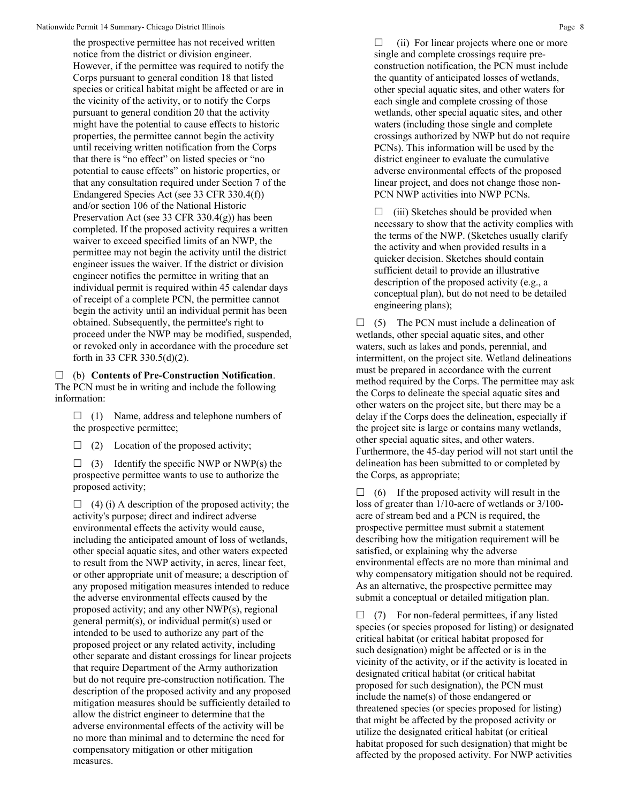the prospective permittee has not received written notice from the district or division engineer. However, if the permittee was required to notify the Corps pursuant to general condition 18 that listed species or critical habitat might be affected or are in the vicinity of the activity, or to notify the Corps pursuant to general condition 20 that the activity might have the potential to cause effects to historic properties, the permittee cannot begin the activity until receiving written notification from the Corps that there is "no effect" on listed species or "no potential to cause effects" on historic properties, or that any consultation required under Section 7 of the Endangered Species Act (see 33 CFR 330.4(f)) and/or section 106 of the National Historic Preservation Act (see 33 CFR 330.4(g)) has been completed. If the proposed activity requires a written waiver to exceed specified limits of an NWP, the permittee may not begin the activity until the district engineer issues the waiver. If the district or division engineer notifies the permittee in writing that an individual permit is required within 45 calendar days of receipt of a complete PCN, the permittee cannot begin the activity until an individual permit has been obtained. Subsequently, the permittee's right to proceed under the NWP may be modified, suspended, or revoked only in accordance with the procedure set forth in 33 CFR 330.5(d)(2).

 (b) **Contents of Pre-Construction Notification**. The PCN must be in writing and include the following information:

 $\Box$  (1) Name, address and telephone numbers of the prospective permittee;

 $\Box$  (2) Location of the proposed activity;

 $\Box$  (3) Identify the specific NWP or NWP(s) the prospective permittee wants to use to authorize the proposed activity;

 $\Box$  (4) (i) A description of the proposed activity; the activity's purpose; direct and indirect adverse environmental effects the activity would cause, including the anticipated amount of loss of wetlands, other special aquatic sites, and other waters expected to result from the NWP activity, in acres, linear feet, or other appropriate unit of measure; a description of any proposed mitigation measures intended to reduce the adverse environmental effects caused by the proposed activity; and any other NWP(s), regional general permit(s), or individual permit(s) used or intended to be used to authorize any part of the proposed project or any related activity, including other separate and distant crossings for linear projects that require Department of the Army authorization but do not require pre-construction notification. The description of the proposed activity and any proposed mitigation measures should be sufficiently detailed to allow the district engineer to determine that the adverse environmental effects of the activity will be no more than minimal and to determine the need for compensatory mitigation or other mitigation measures.

 $\Box$  (ii) For linear projects where one or more single and complete crossings require preconstruction notification, the PCN must include the quantity of anticipated losses of wetlands, other special aquatic sites, and other waters for each single and complete crossing of those wetlands, other special aquatic sites, and other waters (including those single and complete crossings authorized by NWP but do not require PCNs). This information will be used by the district engineer to evaluate the cumulative adverse environmental effects of the proposed linear project, and does not change those non-PCN NWP activities into NWP PCNs.

 $\Box$  (iii) Sketches should be provided when necessary to show that the activity complies with the terms of the NWP. (Sketches usually clarify the activity and when provided results in a quicker decision. Sketches should contain sufficient detail to provide an illustrative description of the proposed activity (e.g., a conceptual plan), but do not need to be detailed engineering plans);

 $\Box$  (5) The PCN must include a delineation of wetlands, other special aquatic sites, and other waters, such as lakes and ponds, perennial, and intermittent, on the project site. Wetland delineations must be prepared in accordance with the current method required by the Corps. The permittee may ask the Corps to delineate the special aquatic sites and other waters on the project site, but there may be a delay if the Corps does the delineation, especially if the project site is large or contains many wetlands, other special aquatic sites, and other waters. Furthermore, the 45-day period will not start until the delineation has been submitted to or completed by the Corps, as appropriate;

 $\Box$  (6) If the proposed activity will result in the loss of greater than 1/10-acre of wetlands or 3/100 acre of stream bed and a PCN is required, the prospective permittee must submit a statement describing how the mitigation requirement will be satisfied, or explaining why the adverse environmental effects are no more than minimal and why compensatory mitigation should not be required. As an alternative, the prospective permittee may submit a conceptual or detailed mitigation plan.

 $\Box$  (7) For non-federal permittees, if any listed species (or species proposed for listing) or designated critical habitat (or critical habitat proposed for such designation) might be affected or is in the vicinity of the activity, or if the activity is located in designated critical habitat (or critical habitat proposed for such designation), the PCN must include the name(s) of those endangered or threatened species (or species proposed for listing) that might be affected by the proposed activity or utilize the designated critical habitat (or critical habitat proposed for such designation) that might be affected by the proposed activity. For NWP activities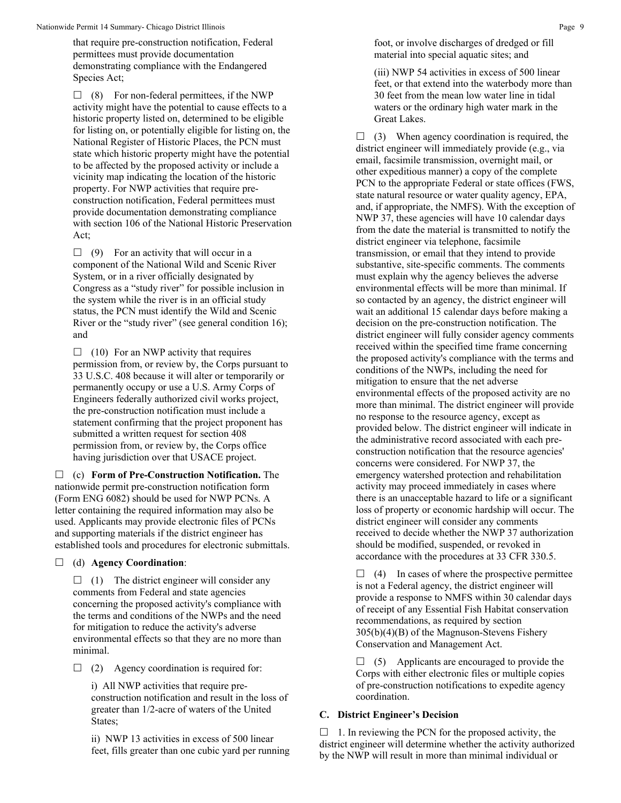that require pre-construction notification, Federal permittees must provide documentation demonstrating compliance with the Endangered Species Act;

 $\Box$  (8) For non-federal permittees, if the NWP activity might have the potential to cause effects to a historic property listed on, determined to be eligible for listing on, or potentially eligible for listing on, the National Register of Historic Places, the PCN must state which historic property might have the potential to be affected by the proposed activity or include a vicinity map indicating the location of the historic property. For NWP activities that require preconstruction notification, Federal permittees must provide documentation demonstrating compliance with section 106 of the National Historic Preservation Act;

 $\Box$  (9) For an activity that will occur in a component of the National Wild and Scenic River System, or in a river officially designated by Congress as a "study river" for possible inclusion in the system while the river is in an official study status, the PCN must identify the Wild and Scenic River or the "study river" (see general condition 16); and

 $\Box$  (10) For an NWP activity that requires permission from, or review by, the Corps pursuant to 33 U.S.C. 408 because it will alter or temporarily or permanently occupy or use a U.S. Army Corps of Engineers federally authorized civil works project, the pre-construction notification must include a statement confirming that the project proponent has submitted a written request for section 408 permission from, or review by, the Corps office having jurisdiction over that USACE project.

 (c) **Form of Pre-Construction Notification.** The nationwide permit pre-construction notification form (Form ENG 6082) should be used for NWP PCNs. A letter containing the required information may also be used. Applicants may provide electronic files of PCNs and supporting materials if the district engineer has established tools and procedures for electronic submittals.

#### (d) **Agency Coordination**:

 $\Box$  (1) The district engineer will consider any comments from Federal and state agencies concerning the proposed activity's compliance with the terms and conditions of the NWPs and the need for mitigation to reduce the activity's adverse environmental effects so that they are no more than minimal.

 $\Box$  (2) Agency coordination is required for:

i) All NWP activities that require preconstruction notification and result in the loss of greater than 1/2-acre of waters of the United States;

ii) NWP 13 activities in excess of 500 linear feet, fills greater than one cubic yard per running foot, or involve discharges of dredged or fill material into special aquatic sites; and

(iii) NWP 54 activities in excess of 500 linear feet, or that extend into the waterbody more than 30 feet from the mean low water line in tidal waters or the ordinary high water mark in the Great Lakes.

 $\Box$  (3) When agency coordination is required, the district engineer will immediately provide (e.g., via email, facsimile transmission, overnight mail, or other expeditious manner) a copy of the complete PCN to the appropriate Federal or state offices (FWS, state natural resource or water quality agency, EPA, and, if appropriate, the NMFS). With the exception of NWP 37, these agencies will have 10 calendar days from the date the material is transmitted to notify the district engineer via telephone, facsimile transmission, or email that they intend to provide substantive, site-specific comments. The comments must explain why the agency believes the adverse environmental effects will be more than minimal. If so contacted by an agency, the district engineer will wait an additional 15 calendar days before making a decision on the pre-construction notification. The district engineer will fully consider agency comments received within the specified time frame concerning the proposed activity's compliance with the terms and conditions of the NWPs, including the need for mitigation to ensure that the net adverse environmental effects of the proposed activity are no more than minimal. The district engineer will provide no response to the resource agency, except as provided below. The district engineer will indicate in the administrative record associated with each preconstruction notification that the resource agencies' concerns were considered. For NWP 37, the emergency watershed protection and rehabilitation activity may proceed immediately in cases where there is an unacceptable hazard to life or a significant loss of property or economic hardship will occur. The district engineer will consider any comments received to decide whether the NWP 37 authorization should be modified, suspended, or revoked in accordance with the procedures at 33 CFR 330.5.

 $\Box$  (4) In cases of where the prospective permittee is not a Federal agency, the district engineer will provide a response to NMFS within 30 calendar days of receipt of any Essential Fish Habitat conservation recommendations, as required by section 305(b)(4)(B) of the Magnuson-Stevens Fishery Conservation and Management Act.

 $\Box$  (5) Applicants are encouraged to provide the Corps with either electronic files or multiple copies of pre-construction notifications to expedite agency coordination.

#### **C. District Engineer's Decision**

 $\Box$  1. In reviewing the PCN for the proposed activity, the district engineer will determine whether the activity authorized by the NWP will result in more than minimal individual or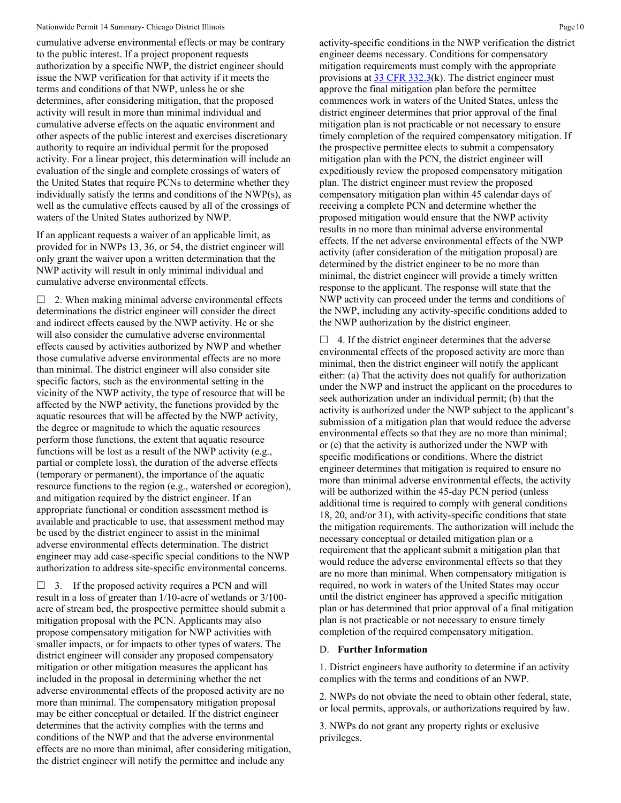cumulative adverse environmental effects or may be contrary to the public interest. If a project proponent requests authorization by a specific NWP, the district engineer should issue the NWP verification for that activity if it meets the terms and conditions of that NWP, unless he or she determines, after considering mitigation, that the proposed activity will result in more than minimal individual and cumulative adverse effects on the aquatic environment and other aspects of the public interest and exercises discretionary authority to require an individual permit for the proposed activity. For a linear project, this determination will include an evaluation of the single and complete crossings of waters of the United States that require PCNs to determine whether they individually satisfy the terms and conditions of the NWP(s), as well as the cumulative effects caused by all of the crossings of waters of the United States authorized by NWP.

If an applicant requests a waiver of an applicable limit, as provided for in NWPs 13, 36, or 54, the district engineer will only grant the waiver upon a written determination that the NWP activity will result in only minimal individual and cumulative adverse environmental effects.

 2. When making minimal adverse environmental effects determinations the district engineer will consider the direct and indirect effects caused by the NWP activity. He or she will also consider the cumulative adverse environmental effects caused by activities authorized by NWP and whether those cumulative adverse environmental effects are no more than minimal. The district engineer will also consider site specific factors, such as the environmental setting in the vicinity of the NWP activity, the type of resource that will be affected by the NWP activity, the functions provided by the aquatic resources that will be affected by the NWP activity, the degree or magnitude to which the aquatic resources perform those functions, the extent that aquatic resource functions will be lost as a result of the NWP activity (e.g., partial or complete loss), the duration of the adverse effects (temporary or permanent), the importance of the aquatic resource functions to the region (e.g., watershed or ecoregion), and mitigation required by the district engineer. If an appropriate functional or condition assessment method is available and practicable to use, that assessment method may be used by the district engineer to assist in the minimal adverse environmental effects determination. The district engineer may add case-specific special conditions to the NWP authorization to address site-specific environmental concerns.

 $\Box$  3. If the proposed activity requires a PCN and will result in a loss of greater than 1/10-acre of wetlands or 3/100 acre of stream bed, the prospective permittee should submit a mitigation proposal with the PCN. Applicants may also propose compensatory mitigation for NWP activities with smaller impacts, or for impacts to other types of waters. The district engineer will consider any proposed compensatory mitigation or other mitigation measures the applicant has included in the proposal in determining whether the net adverse environmental effects of the proposed activity are no more than minimal. The compensatory mitigation proposal may be either conceptual or detailed. If the district engineer determines that the activity complies with the terms and conditions of the NWP and that the adverse environmental effects are no more than minimal, after considering mitigation, the district engineer will notify the permittee and include any

activity-specific conditions in the NWP verification the district engineer deems necessary. Conditions for compensatory mitigation requirements must comply with the appropriate provisions at  $33 \text{ CFR } 332.3(k)$ . The district engineer must approve the final mitigation plan before the permittee commences work in waters of the United States, unless the district engineer determines that prior approval of the final mitigation plan is not practicable or not necessary to ensure timely completion of the required compensatory mitigation. If the prospective permittee elects to submit a compensatory mitigation plan with the PCN, the district engineer will expeditiously review the proposed compensatory mitigation plan. The district engineer must review the proposed compensatory mitigation plan within 45 calendar days of receiving a complete PCN and determine whether the proposed mitigation would ensure that the NWP activity results in no more than minimal adverse environmental effects. If the net adverse environmental effects of the NWP activity (after consideration of the mitigation proposal) are determined by the district engineer to be no more than minimal, the district engineer will provide a timely written response to the applicant. The response will state that the NWP activity can proceed under the terms and conditions of the NWP, including any activity-specific conditions added to the NWP authorization by the district engineer.

 $\Box$  4. If the district engineer determines that the adverse environmental effects of the proposed activity are more than minimal, then the district engineer will notify the applicant either: (a) That the activity does not qualify for authorization under the NWP and instruct the applicant on the procedures to seek authorization under an individual permit; (b) that the activity is authorized under the NWP subject to the applicant's submission of a mitigation plan that would reduce the adverse environmental effects so that they are no more than minimal; or (c) that the activity is authorized under the NWP with specific modifications or conditions. Where the district engineer determines that mitigation is required to ensure no more than minimal adverse environmental effects, the activity will be authorized within the 45-day PCN period (unless additional time is required to comply with general conditions 18, 20, and/or 31), with activity-specific conditions that state the mitigation requirements. The authorization will include the necessary conceptual or detailed mitigation plan or a requirement that the applicant submit a mitigation plan that would reduce the adverse environmental effects so that they are no more than minimal. When compensatory mitigation is required, no work in waters of the United States may occur until the district engineer has approved a specific mitigation plan or has determined that prior approval of a final mitigation plan is not practicable or not necessary to ensure timely completion of the required compensatory mitigation.

#### D. **Further Information**

1. District engineers have authority to determine if an activity complies with the terms and conditions of an NWP.

2. NWPs do not obviate the need to obtain other federal, state, or local permits, approvals, or authorizations required by law.

3. NWPs do not grant any property rights or exclusive privileges.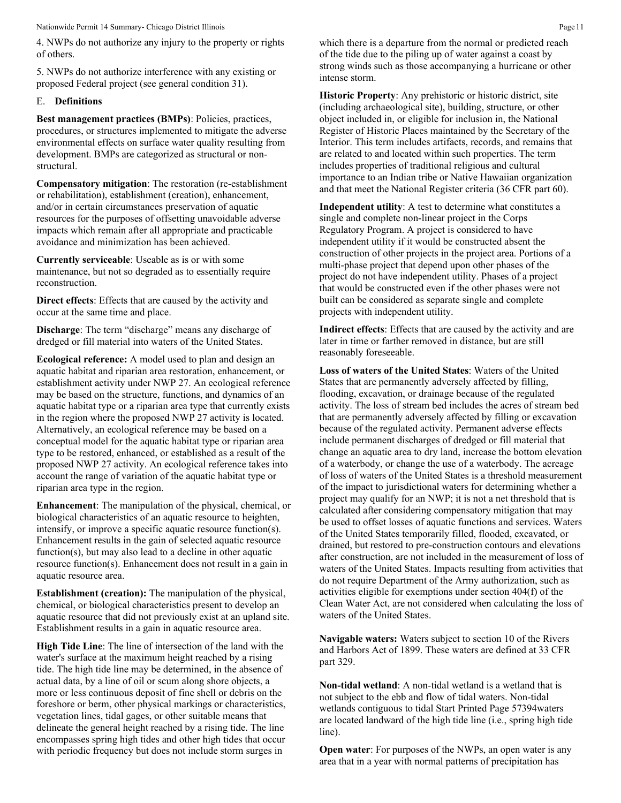4. NWPs do not authorize any injury to the property or rights of others.

5. NWPs do not authorize interference with any existing or proposed Federal project (see general condition 31).

## E. **Definitions**

**Best management practices (BMPs)**: Policies, practices, procedures, or structures implemented to mitigate the adverse environmental effects on surface water quality resulting from development. BMPs are categorized as structural or nonstructural.

**Compensatory mitigation**: The restoration (re-establishment or rehabilitation), establishment (creation), enhancement, and/or in certain circumstances preservation of aquatic resources for the purposes of offsetting unavoidable adverse impacts which remain after all appropriate and practicable avoidance and minimization has been achieved.

**Currently serviceable**: Useable as is or with some maintenance, but not so degraded as to essentially require reconstruction.

**Direct effects**: Effects that are caused by the activity and occur at the same time and place.

**Discharge:** The term "discharge" means any discharge of dredged or fill material into waters of the United States.

**Ecological reference:** A model used to plan and design an aquatic habitat and riparian area restoration, enhancement, or establishment activity under NWP 27. An ecological reference may be based on the structure, functions, and dynamics of an aquatic habitat type or a riparian area type that currently exists in the region where the proposed NWP 27 activity is located. Alternatively, an ecological reference may be based on a conceptual model for the aquatic habitat type or riparian area type to be restored, enhanced, or established as a result of the proposed NWP 27 activity. An ecological reference takes into account the range of variation of the aquatic habitat type or riparian area type in the region.

**Enhancement**: The manipulation of the physical, chemical, or biological characteristics of an aquatic resource to heighten, intensify, or improve a specific aquatic resource function(s). Enhancement results in the gain of selected aquatic resource function(s), but may also lead to a decline in other aquatic resource function(s). Enhancement does not result in a gain in aquatic resource area.

**Establishment (creation):** The manipulation of the physical, chemical, or biological characteristics present to develop an aquatic resource that did not previously exist at an upland site. Establishment results in a gain in aquatic resource area.

**High Tide Line**: The line of intersection of the land with the water's surface at the maximum height reached by a rising tide. The high tide line may be determined, in the absence of actual data, by a line of oil or scum along shore objects, a more or less continuous deposit of fine shell or debris on the foreshore or berm, other physical markings or characteristics, vegetation lines, tidal gages, or other suitable means that delineate the general height reached by a rising tide. The line encompasses spring high tides and other high tides that occur with periodic frequency but does not include storm surges in

which there is a departure from the normal or predicted reach of the tide due to the piling up of water against a coast by strong winds such as those accompanying a hurricane or other intense storm.

**Historic Property**: Any prehistoric or historic district, site (including archaeological site), building, structure, or other object included in, or eligible for inclusion in, the National Register of Historic Places maintained by the Secretary of the Interior. This term includes artifacts, records, and remains that are related to and located within such properties. The term includes properties of traditional religious and cultural importance to an Indian tribe or Native Hawaiian organization and that meet the National Register criteria (36 CFR part 60).

**Independent utility**: A test to determine what constitutes a single and complete non-linear project in the Corps Regulatory Program. A project is considered to have independent utility if it would be constructed absent the construction of other projects in the project area. Portions of a multi-phase project that depend upon other phases of the project do not have independent utility. Phases of a project that would be constructed even if the other phases were not built can be considered as separate single and complete projects with independent utility.

**Indirect effects**: Effects that are caused by the activity and are later in time or farther removed in distance, but are still reasonably foreseeable.

**Loss of waters of the United States**: Waters of the United States that are permanently adversely affected by filling, flooding, excavation, or drainage because of the regulated activity. The loss of stream bed includes the acres of stream bed that are permanently adversely affected by filling or excavation because of the regulated activity. Permanent adverse effects include permanent discharges of dredged or fill material that change an aquatic area to dry land, increase the bottom elevation of a waterbody, or change the use of a waterbody. The acreage of loss of waters of the United States is a threshold measurement of the impact to jurisdictional waters for determining whether a project may qualify for an NWP; it is not a net threshold that is calculated after considering compensatory mitigation that may be used to offset losses of aquatic functions and services. Waters of the United States temporarily filled, flooded, excavated, or drained, but restored to pre-construction contours and elevations after construction, are not included in the measurement of loss of waters of the United States. Impacts resulting from activities that do not require Department of the Army authorization, such as activities eligible for exemptions under section 404(f) of the Clean Water Act, are not considered when calculating the loss of waters of the United States.

**Navigable waters:** Waters subject to section 10 of the Rivers and Harbors Act of 1899. These waters are defined at 33 CFR part 329.

**Non-tidal wetland**: A non-tidal wetland is a wetland that is not subject to the ebb and flow of tidal waters. Non-tidal wetlands contiguous to tidal Start Printed Page 57394waters are located landward of the high tide line (i.e., spring high tide line).

**Open water:** For purposes of the NWPs, an open water is any area that in a year with normal patterns of precipitation has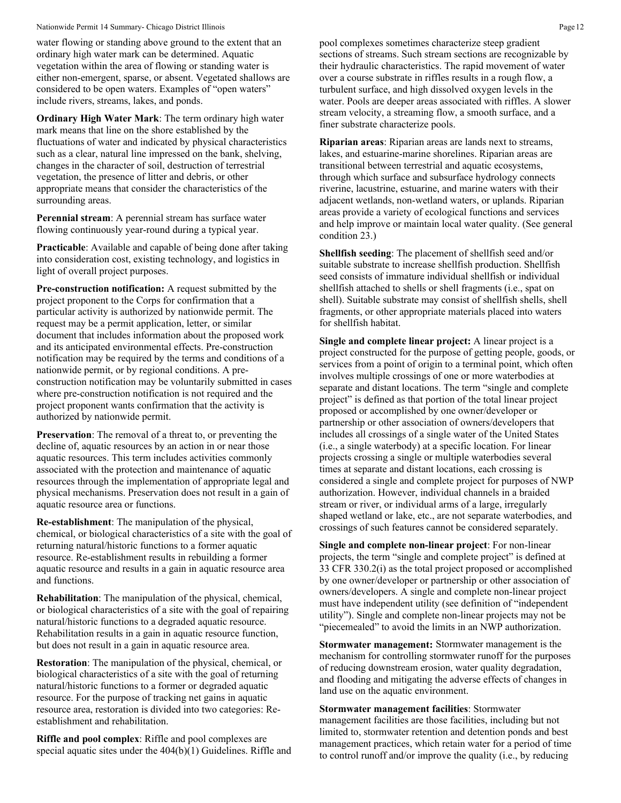water flowing or standing above ground to the extent that an ordinary high water mark can be determined. Aquatic vegetation within the area of flowing or standing water is either non-emergent, sparse, or absent. Vegetated shallows are considered to be open waters. Examples of "open waters" include rivers, streams, lakes, and ponds.

**Ordinary High Water Mark**: The term ordinary high water mark means that line on the shore established by the fluctuations of water and indicated by physical characteristics such as a clear, natural line impressed on the bank, shelving, changes in the character of soil, destruction of terrestrial vegetation, the presence of litter and debris, or other appropriate means that consider the characteristics of the surrounding areas.

**Perennial stream**: A perennial stream has surface water flowing continuously year-round during a typical year.

**Practicable**: Available and capable of being done after taking into consideration cost, existing technology, and logistics in light of overall project purposes.

**Pre-construction notification:** A request submitted by the project proponent to the Corps for confirmation that a particular activity is authorized by nationwide permit. The request may be a permit application, letter, or similar document that includes information about the proposed work and its anticipated environmental effects. Pre-construction notification may be required by the terms and conditions of a nationwide permit, or by regional conditions. A preconstruction notification may be voluntarily submitted in cases where pre-construction notification is not required and the project proponent wants confirmation that the activity is authorized by nationwide permit.

**Preservation**: The removal of a threat to, or preventing the decline of, aquatic resources by an action in or near those aquatic resources. This term includes activities commonly associated with the protection and maintenance of aquatic resources through the implementation of appropriate legal and physical mechanisms. Preservation does not result in a gain of aquatic resource area or functions.

**Re-establishment**: The manipulation of the physical, chemical, or biological characteristics of a site with the goal of returning natural/historic functions to a former aquatic resource. Re-establishment results in rebuilding a former aquatic resource and results in a gain in aquatic resource area and functions.

**Rehabilitation**: The manipulation of the physical, chemical, or biological characteristics of a site with the goal of repairing natural/historic functions to a degraded aquatic resource. Rehabilitation results in a gain in aquatic resource function, but does not result in a gain in aquatic resource area.

**Restoration**: The manipulation of the physical, chemical, or biological characteristics of a site with the goal of returning natural/historic functions to a former or degraded aquatic resource. For the purpose of tracking net gains in aquatic resource area, restoration is divided into two categories: Reestablishment and rehabilitation.

**Riffle and pool complex**: Riffle and pool complexes are special aquatic sites under the 404(b)(1) Guidelines. Riffle and pool complexes sometimes characterize steep gradient sections of streams. Such stream sections are recognizable by their hydraulic characteristics. The rapid movement of water over a course substrate in riffles results in a rough flow, a turbulent surface, and high dissolved oxygen levels in the water. Pools are deeper areas associated with riffles. A slower stream velocity, a streaming flow, a smooth surface, and a finer substrate characterize pools.

**Riparian areas**: Riparian areas are lands next to streams, lakes, and estuarine-marine shorelines. Riparian areas are transitional between terrestrial and aquatic ecosystems, through which surface and subsurface hydrology connects riverine, lacustrine, estuarine, and marine waters with their adjacent wetlands, non-wetland waters, or uplands. Riparian areas provide a variety of ecological functions and services and help improve or maintain local water quality. (See general condition 23.)

**Shellfish seeding**: The placement of shellfish seed and/or suitable substrate to increase shellfish production. Shellfish seed consists of immature individual shellfish or individual shellfish attached to shells or shell fragments (i.e., spat on shell). Suitable substrate may consist of shellfish shells, shell fragments, or other appropriate materials placed into waters for shellfish habitat.

**Single and complete linear project:** A linear project is a project constructed for the purpose of getting people, goods, or services from a point of origin to a terminal point, which often involves multiple crossings of one or more waterbodies at separate and distant locations. The term "single and complete project" is defined as that portion of the total linear project proposed or accomplished by one owner/developer or partnership or other association of owners/developers that includes all crossings of a single water of the United States (i.e., a single waterbody) at a specific location. For linear projects crossing a single or multiple waterbodies several times at separate and distant locations, each crossing is considered a single and complete project for purposes of NWP authorization. However, individual channels in a braided stream or river, or individual arms of a large, irregularly shaped wetland or lake, etc., are not separate waterbodies, and crossings of such features cannot be considered separately.

**Single and complete non-linear project**: For non-linear projects, the term "single and complete project" is defined at 33 CFR 330.2(i) as the total project proposed or accomplished by one owner/developer or partnership or other association of owners/developers. A single and complete non-linear project must have independent utility (see definition of "independent utility"). Single and complete non-linear projects may not be "piecemealed" to avoid the limits in an NWP authorization.

**Stormwater management:** Stormwater management is the mechanism for controlling stormwater runoff for the purposes of reducing downstream erosion, water quality degradation, and flooding and mitigating the adverse effects of changes in land use on the aquatic environment.

**Stormwater management facilities**: Stormwater management facilities are those facilities, including but not limited to, stormwater retention and detention ponds and best management practices, which retain water for a period of time to control runoff and/or improve the quality (i.e., by reducing